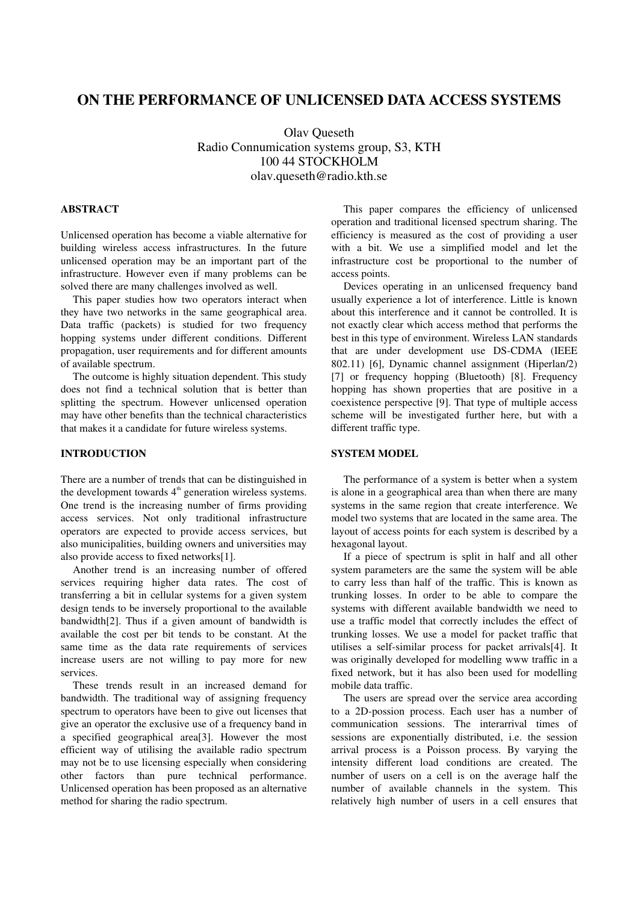# **ON THE PERFORMANCE OF UNLICENSED DATA ACCESS SYSTEMS**

Olav Queseth Radio Connumication systems group, S3, KTH 100 44 STOCKHOLM olav.queseth@radio.kth.se

## **ABSTRACT**

Unlicensed operation has become a viable alternative for building wireless access infrastructures. In the future unlicensed operation may be an important part of the infrastructure. However even if many problems can be solved there are many challenges involved as well.

This paper studies how two operators interact when they have two networks in the same geographical area. Data traffic (packets) is studied for two frequency hopping systems under different conditions. Different propagation, user requirements and for different amounts of available spectrum.

The outcome is highly situation dependent. This study does not find a technical solution that is better than splitting the spectrum. However unlicensed operation may have other benefits than the technical characteristics that makes it a candidate for future wireless systems.

## **INTRODUCTION**

There are a number of trends that can be distinguished in the development towards  $4<sup>th</sup>$  generation wireless systems. One trend is the increasing number of firms providing access services. Not only traditional infrastructure operators are expected to provide access services, but also municipalities, building owners and universities may also provide access to fixed networks[1].

Another trend is an increasing number of offered services requiring higher data rates. The cost of transferring a bit in cellular systems for a given system design tends to be inversely proportional to the available bandwidth[2]. Thus if a given amount of bandwidth is available the cost per bit tends to be constant. At the same time as the data rate requirements of services increase users are not willing to pay more for new services.

These trends result in an increased demand for bandwidth. The traditional way of assigning frequency spectrum to operators have been to give out licenses that give an operator the exclusive use of a frequency band in a specified geographical area[3]. However the most efficient way of utilising the available radio spectrum may not be to use licensing especially when considering other factors than pure technical performance. Unlicensed operation has been proposed as an alternative method for sharing the radio spectrum.

This paper compares the efficiency of unlicensed operation and traditional licensed spectrum sharing. The efficiency is measured as the cost of providing a user with a bit. We use a simplified model and let the infrastructure cost be proportional to the number of access points.

Devices operating in an unlicensed frequency band usually experience a lot of interference. Little is known about this interference and it cannot be controlled. It is not exactly clear which access method that performs the best in this type of environment. Wireless LAN standards that are under development use DS-CDMA (IEEE 802.11) [6], Dynamic channel assignment (Hiperlan/2) [7] or frequency hopping (Bluetooth) [8]. Frequency hopping has shown properties that are positive in a coexistence perspective [9]. That type of multiple access scheme will be investigated further here, but with a different traffic type.

## **SYSTEM MODEL**

The performance of a system is better when a system is alone in a geographical area than when there are many systems in the same region that create interference. We model two systems that are located in the same area. The layout of access points for each system is described by a hexagonal layout.

If a piece of spectrum is split in half and all other system parameters are the same the system will be able to carry less than half of the traffic. This is known as trunking losses. In order to be able to compare the systems with different available bandwidth we need to use a traffic model that correctly includes the effect of trunking losses. We use a model for packet traffic that utilises a self-similar process for packet arrivals[4]. It was originally developed for modelling www traffic in a fixed network, but it has also been used for modelling mobile data traffic.

The users are spread over the service area according to a 2D-possion process. Each user has a number of communication sessions. The interarrival times of sessions are exponentially distributed, i.e. the session arrival process is a Poisson process. By varying the intensity different load conditions are created. The number of users on a cell is on the average half the number of available channels in the system. This relatively high number of users in a cell ensures that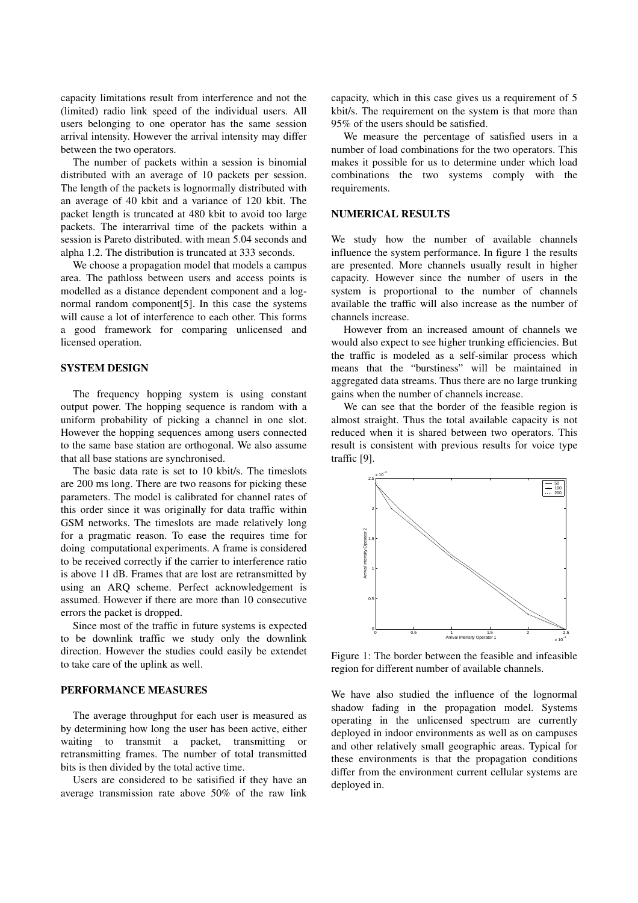capacity limitations result from interference and not the (limited) radio link speed of the individual users. All users belonging to one operator has the same session arrival intensity. However the arrival intensity may differ between the two operators.

The number of packets within a session is binomial distributed with an average of 10 packets per session. The length of the packets is lognormally distributed with an average of 40 kbit and a variance of 120 kbit. The packet length is truncated at 480 kbit to avoid too large packets. The interarrival time of the packets within a session is Pareto distributed. with mean 5.04 seconds and alpha 1.2. The distribution is truncated at 333 seconds.

We choose a propagation model that models a campus area. The pathloss between users and access points is modelled as a distance dependent component and a lognormal random component[5]. In this case the systems will cause a lot of interference to each other. This forms a good framework for comparing unlicensed and licensed operation.

#### **SYSTEM DESIGN**

The frequency hopping system is using constant output power. The hopping sequence is random with a uniform probability of picking a channel in one slot. However the hopping sequences among users connected to the same base station are orthogonal. We also assume that all base stations are synchronised.

The basic data rate is set to 10 kbit/s. The timeslots are 200 ms long. There are two reasons for picking these parameters. The model is calibrated for channel rates of this order since it was originally for data traffic within GSM networks. The timeslots are made relatively long for a pragmatic reason. To ease the requires time for doing computational experiments. A frame is considered to be received correctly if the carrier to interference ratio is above 11 dB. Frames that are lost are retransmitted by using an ARQ scheme. Perfect acknowledgement is assumed. However if there are more than 10 consecutive errors the packet is dropped.

Since most of the traffic in future systems is expected to be downlink traffic we study only the downlink direction. However the studies could easily be extendet to take care of the uplink as well.

## **PERFORMANCE MEASURES**

The average throughput for each user is measured as by determining how long the user has been active, either waiting to transmit a packet, transmitting or retransmitting frames. The number of total transmitted bits is then divided by the total active time.

Users are considered to be satisified if they have an average transmission rate above 50% of the raw link capacity, which in this case gives us a requirement of 5 kbit/s. The requirement on the system is that more than 95% of the users should be satisfied.

We measure the percentage of satisfied users in a number of load combinations for the two operators. This makes it possible for us to determine under which load combinations the two systems comply with the requirements.

## **NUMERICAL RESULTS**

We study how the number of available channels influence the system performance. In figure 1 the results are presented. More channels usually result in higher capacity. However since the number of users in the system is proportional to the number of channels available the traffic will also increase as the number of channels increase.

However from an increased amount of channels we would also expect to see higher trunking efficiencies. But the traffic is modeled as a self-similar process which means that the "burstiness" will be maintained in aggregated data streams. Thus there are no large trunking gains when the number of channels increase.

We can see that the border of the feasible region is almost straight. Thus the total available capacity is not reduced when it is shared between two operators. This result is consistent with previous results for voice type traffic [9].



Figure 1: The border between the feasible and infeasible region for different number of available channels.

We have also studied the influence of the lognormal shadow fading in the propagation model. Systems operating in the unlicensed spectrum are currently deployed in indoor environments as well as on campuses and other relatively small geographic areas. Typical for these environments is that the propagation conditions differ from the environment current cellular systems are deployed in.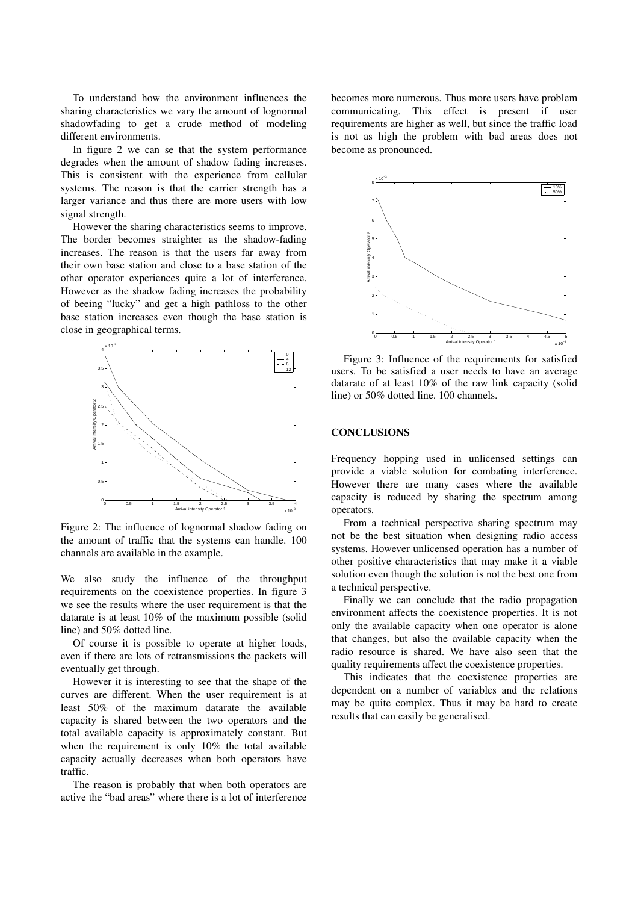To understand how the environment influences the sharing characteristics we vary the amount of lognormal shadowfading to get a crude method of modeling different environments.

In figure 2 we can se that the system performance degrades when the amount of shadow fading increases. This is consistent with the experience from cellular systems. The reason is that the carrier strength has a larger variance and thus there are more users with low signal strength.

However the sharing characteristics seems to improve. The border becomes straighter as the shadow-fading increases. The reason is that the users far away from their own base station and close to a base station of the other operator experiences quite a lot of interference. However as the shadow fading increases the probability of beeing "lucky" and get a high pathloss to the other base station increases even though the base station is close in geographical terms.



Figure 2: The influence of lognormal shadow fading on the amount of traffic that the systems can handle. 100 channels are available in the example.

We also study the influence of the throughput requirements on the coexistence properties. In figure 3 we see the results where the user requirement is that the datarate is at least 10% of the maximum possible (solid line) and 50% dotted line.

Of course it is possible to operate at higher loads, even if there are lots of retransmissions the packets will eventually get through.

However it is interesting to see that the shape of the curves are different. When the user requirement is at least 50% of the maximum datarate the available capacity is shared between the two operators and the total available capacity is approximately constant. But when the requirement is only 10% the total available capacity actually decreases when both operators have traffic.

The reason is probably that when both operators are active the "bad areas" where there is a lot of interference becomes more numerous. Thus more users have problem communicating. This effect is present if user requirements are higher as well, but since the traffic load is not as high the problem with bad areas does not become as pronounced.



Figure 3: Influence of the requirements for satisfied users. To be satisfied a user needs to have an average datarate of at least 10% of the raw link capacity (solid line) or 50% dotted line. 100 channels.

#### **CONCLUSIONS**

Frequency hopping used in unlicensed settings can provide a viable solution for combating interference. However there are many cases where the available capacity is reduced by sharing the spectrum among operators.

From a technical perspective sharing spectrum may not be the best situation when designing radio access systems. However unlicensed operation has a number of other positive characteristics that may make it a viable solution even though the solution is not the best one from a technical perspective.

Finally we can conclude that the radio propagation environment affects the coexistence properties. It is not only the available capacity when one operator is alone that changes, but also the available capacity when the radio resource is shared. We have also seen that the quality requirements affect the coexistence properties.

This indicates that the coexistence properties are dependent on a number of variables and the relations may be quite complex. Thus it may be hard to create results that can easily be generalised.